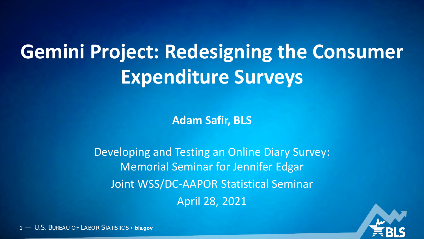# **Gemini Project: Redesigning the Consumer Expenditure Surveys**

**Adam Safir, BLS**

Developing and Testing an Online Diary Survey: Memorial Seminar for Jennifer Edgar Joint WSS/DC-AAPOR Statistical Seminar April 28, 2021



1 — U.S. BUREAU OF LABOR STATISTICS • **bls.gov**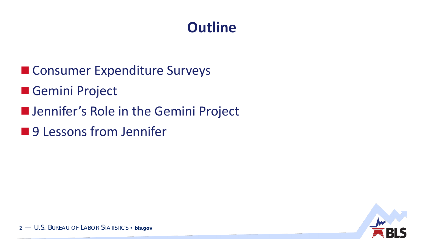#### **Outline**

- Consumer Expenditure Surveys
- **Gemini Project**
- **ID Jennifer's Role in the Gemini Project**
- 9 Lessons from Jennifer

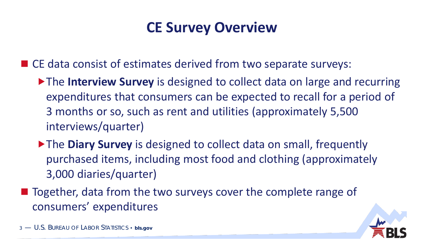#### **CE Survey Overview**

■ CE data consist of estimates derived from two separate surveys:

- The **Interview Survey** is designed to collect data on large and recurring expenditures that consumers can be expected to recall for a period of 3 months or so, such as rent and utilities (approximately 5,500 interviews/quarter)
- ▶ The **Diary Survey** is designed to collect data on small, frequently purchased items, including most food and clothing (approximately 3,000 diaries/quarter)
- Together, data from the two surveys cover the complete range of consumers' expenditures

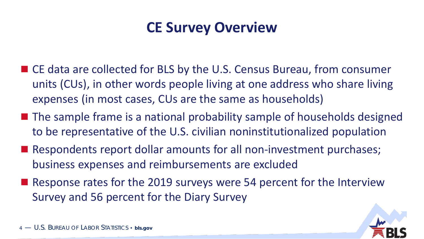#### **CE Survey Overview**

- CE data are collected for BLS by the U.S. Census Bureau, from consumer units (CUs), in other words people living at one address who share living expenses (in most cases, CUs are the same as households)
- The sample frame is a national probability sample of households designed to be representative of the U.S. civilian noninstitutionalized population
- Respondents report dollar amounts for all non-investment purchases; business expenses and reimbursements are excluded
- Response rates for the 2019 surveys were 54 percent for the Interview Survey and 56 percent for the Diary Survey

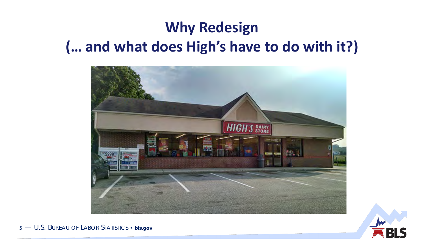# **Why Redesign (… and what does High's have to do with it?)**





5 — U.S. BUREAU OF LABOR STATISTICS • **bls.gov**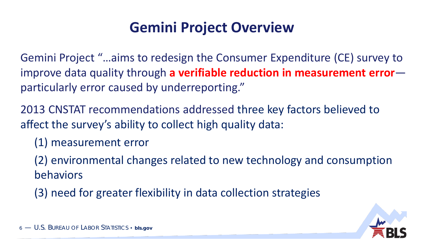#### **Gemini Project Overview**

Gemini Project "…aims to redesign the Consumer Expenditure (CE) survey to improve data quality through **a verifiable reduction in measurement error** particularly error caused by underreporting."

2013 CNSTAT recommendations addressed three key factors believed to affect the survey's ability to collect high quality data:

(1) measurement error

(2) environmental changes related to new technology and consumption behaviors

(3) need for greater flexibility in data collection strategies

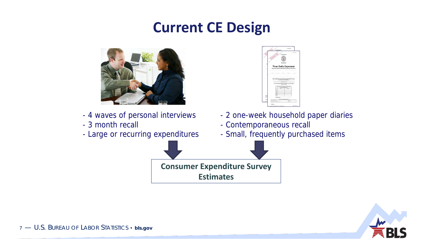#### **Current CE Design**



- 4 waves of personal interviews
- 3 month recall
- Large or recurring expenditures



- 2 one-week household paper diaries
- Contemporaneous recall
- Small, frequently purchased items

**Consumer Expenditure Survey Estimates**

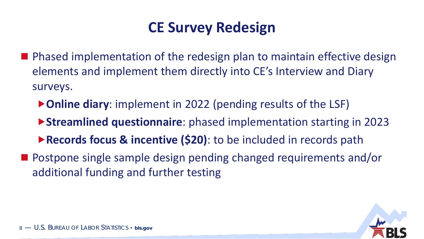#### **CE Survey Redesign**

- **Phased implementation of the redesign plan to maintain effective design** elements and implement them directly into CE's Interview and Diary surveys.
	- ▶ Online diary: implement in 2022 (pending results of the LSF)
	- **Streamlined questionnaire**: phased implementation starting in 2023
	- **Records focus & incentive (\$20)**: to be included in records path
- Postpone single sample design pending changed requirements and/or additional funding and further testing

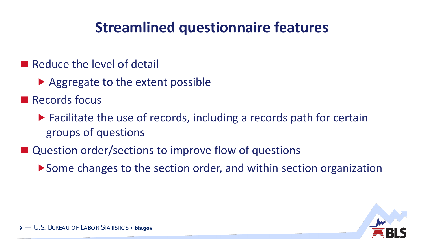#### **Streamlined questionnaire features**

- Reduce the level of detail
	- ▶ Aggregate to the extent possible
- **Records focus** 
	- $\blacktriangleright$  Facilitate the use of records, including a records path for certain groups of questions
- Question order/sections to improve flow of questions
	- ▶ Some changes to the section order, and within section organization

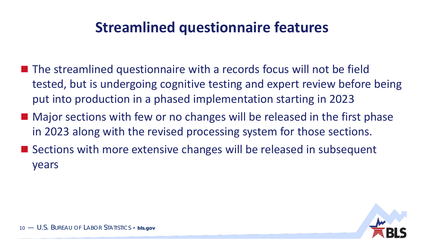#### **Streamlined questionnaire features**

- $\blacksquare$  The streamlined questionnaire with a records focus will not be field tested, but is undergoing cognitive testing and expert review before being put into production in a phased implementation starting in 2023
- Major sections with few or no changes will be released in the first phase in 2023 along with the revised processing system for those sections.
- Sections with more extensive changes will be released in subsequent years

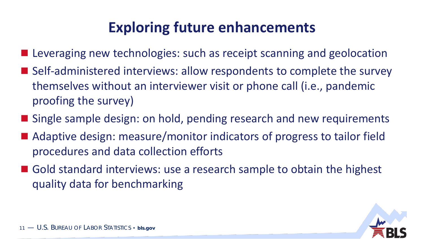#### **Exploring future enhancements**

- **Leveraging new technologies: such as receipt scanning and geolocation**
- Self-administered interviews: allow respondents to complete the survey themselves without an interviewer visit or phone call (i.e., pandemic proofing the survey)
- Single sample design: on hold, pending research and new requirements
- Adaptive design: measure/monitor indicators of progress to tailor field procedures and data collection efforts
- Gold standard interviews: use a research sample to obtain the highest quality data for benchmarking

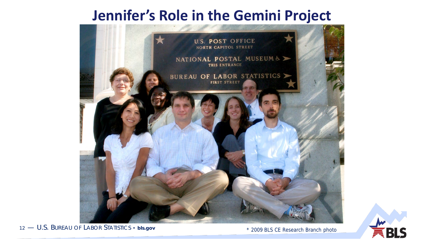#### **Jennifer's Role in the Gemini Project**



12 — U.S. BUREAU OF LABOR STATISTICS • **bls.gov**

\* 2009 BLS CE Research Branch photo

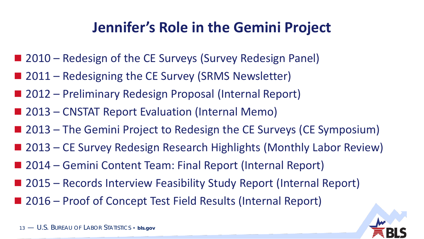#### **Jennifer's Role in the Gemini Project**

- 2010 Redesign of the CE Surveys (Survey Redesign Panel)
- 2011 Redesigning the CE Survey (SRMS Newsletter)
- 2012 Preliminary Redesign Proposal (Internal Report)
- 2013 CNSTAT Report Evaluation (Internal Memo)
- 2013 The Gemini Project to Redesign the CE Surveys (CE Symposium)
- 2013 CE Survey Redesign Research Highlights (Monthly Labor Review)
- 2014 Gemini Content Team: Final Report (Internal Report)
- 2015 Records Interview Feasibility Study Report (Internal Report)
- 2016 Proof of Concept Test Field Results (Internal Report)

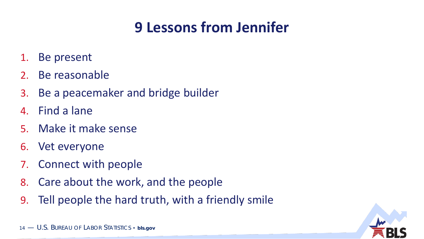## **9 Lessons from Jennifer**

- 1. Be present
- 2. Be reasonable
- 3. Be a peacemaker and bridge builder
- 4. Find a lane
- 5. Make it make sense
- 6. Vet everyone
- 7. Connect with people
- 8. Care about the work, and the people
- 9. Tell people the hard truth, with a friendly smile